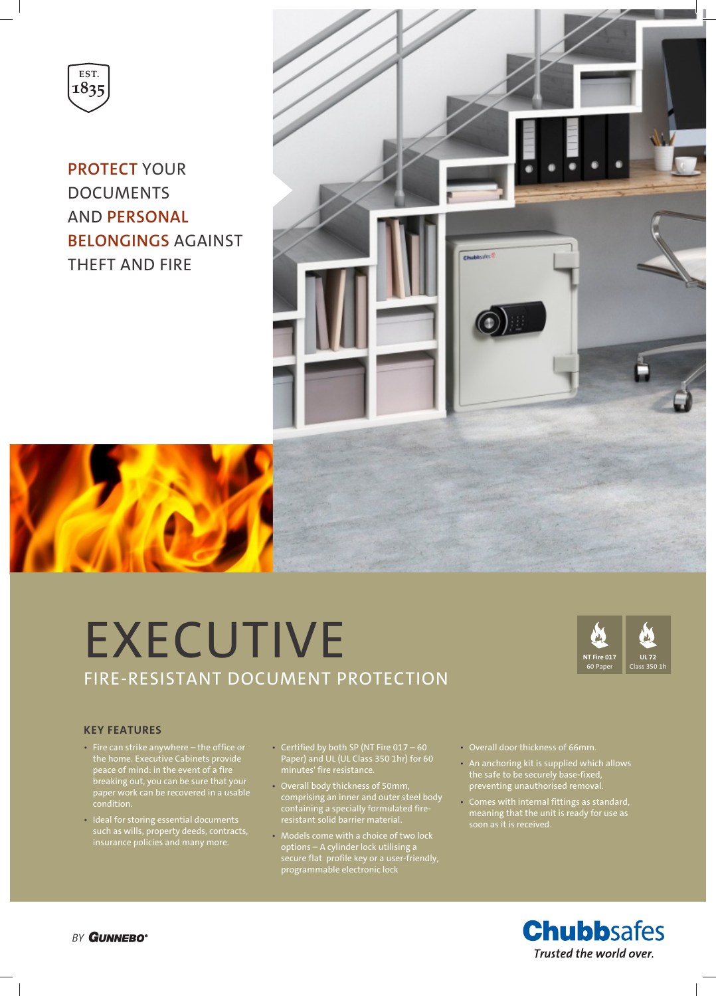

**PROTECT** YOUR DOCUMENTS AND **PERSONAL BELONGINGS** AGAINST THEFT AND FIRE



# **EXECUTIVE** FIRE-RESISTANT DOCUMENT PROTECTION



#### **KEY FEATURES**

- Fire can strike anywhere the office or the home. Executive Cabinets provide peace of mind: in the event of a fire breaking out, you can be sure that your paper work can be recovered in a usable condition.
- Ideal for storing essential documents such as wills, property deeds, contracts, insurance policies and many more.
- Certified by both SP (NT Fire 017 60 Paper) and UL (UL Class 350 1hr) for 60 minutes' fire resistance.
- Overall body thickness of 50mm, comprising an inner and outer steel body containing a specially formulated fireresistant solid barrier material.
- Models come with a choice of two lock options – A cylinder lock utilising a secure flat profile key or a user-friendly, programmable electronic lock
- Overall door thickness of 66mm.
- An anchoring kit is supplied which allows the safe to be securely base-fixed, preventing unauthorised removal.
- Comes with internal fittings as standard, meaning that the unit is ready for use as